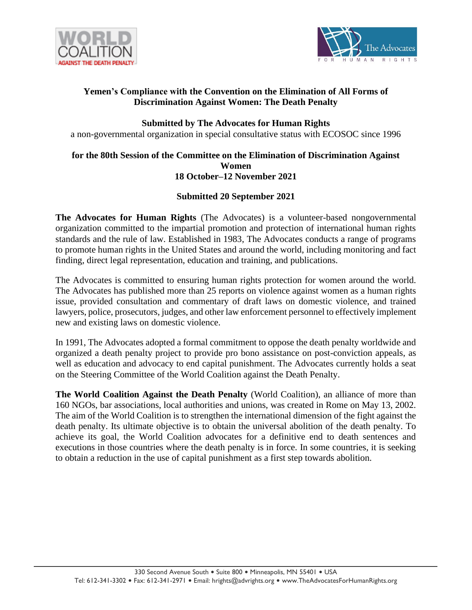



# **Yemen's Compliance with the Convention on the Elimination of All Forms of Discrimination Against Women: The Death Penalty**

### **Submitted by The Advocates for Human Rights**

a non-governmental organization in special consultative status with ECOSOC since 1996

#### **for the 80th Session of the Committee on the Elimination of Discrimination Against Women 18 October–12 November 2021**

# **Submitted 20 September 2021**

**The Advocates for Human Rights** (The Advocates) is a volunteer-based nongovernmental organization committed to the impartial promotion and protection of international human rights standards and the rule of law. Established in 1983, The Advocates conducts a range of programs to promote human rights in the United States and around the world, including monitoring and fact finding, direct legal representation, education and training, and publications.

The Advocates is committed to ensuring human rights protection for women around the world. The Advocates has published more than 25 reports on violence against women as a human rights issue, provided consultation and commentary of draft laws on domestic violence, and trained lawyers, police, prosecutors, judges, and other law enforcement personnel to effectively implement new and existing laws on domestic violence.

In 1991, The Advocates adopted a formal commitment to oppose the death penalty worldwide and organized a death penalty project to provide pro bono assistance on post-conviction appeals, as well as education and advocacy to end capital punishment. The Advocates currently holds a seat on the Steering Committee of the World Coalition against the Death Penalty.

**The World Coalition Against the Death Penalty** (World Coalition), an alliance of more than 160 NGOs, bar associations, local authorities and unions, was created in Rome on May 13, 2002. The aim of the World Coalition is to strengthen the international dimension of the fight against the death penalty. Its ultimate objective is to obtain the universal abolition of the death penalty. To achieve its goal, the World Coalition advocates for a definitive end to death sentences and executions in those countries where the death penalty is in force. In some countries, it is seeking to obtain a reduction in the use of capital punishment as a first step towards abolition.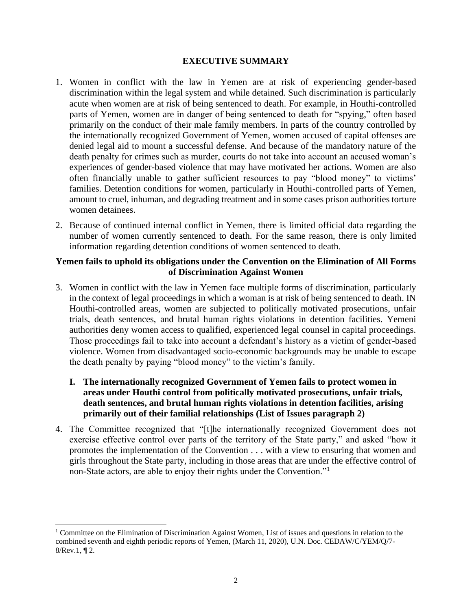### **EXECUTIVE SUMMARY**

- 1. Women in conflict with the law in Yemen are at risk of experiencing gender-based discrimination within the legal system and while detained. Such discrimination is particularly acute when women are at risk of being sentenced to death. For example, in Houthi-controlled parts of Yemen, women are in danger of being sentenced to death for "spying," often based primarily on the conduct of their male family members. In parts of the country controlled by the internationally recognized Government of Yemen, women accused of capital offenses are denied legal aid to mount a successful defense. And because of the mandatory nature of the death penalty for crimes such as murder, courts do not take into account an accused woman's experiences of gender-based violence that may have motivated her actions. Women are also often financially unable to gather sufficient resources to pay "blood money" to victims' families. Detention conditions for women, particularly in Houthi-controlled parts of Yemen, amount to cruel, inhuman, and degrading treatment and in some cases prison authorities torture women detainees.
- 2. Because of continued internal conflict in Yemen, there is limited official data regarding the number of women currently sentenced to death. For the same reason, there is only limited information regarding detention conditions of women sentenced to death.

## **Yemen fails to uphold its obligations under the Convention on the Elimination of All Forms of Discrimination Against Women**

- 3. Women in conflict with the law in Yemen face multiple forms of discrimination, particularly in the context of legal proceedings in which a woman is at risk of being sentenced to death. IN Houthi-controlled areas, women are subjected to politically motivated prosecutions, unfair trials, death sentences, and brutal human rights violations in detention facilities. Yemeni authorities deny women access to qualified, experienced legal counsel in capital proceedings. Those proceedings fail to take into account a defendant's history as a victim of gender-based violence. Women from disadvantaged socio-economic backgrounds may be unable to escape the death penalty by paying "blood money" to the victim's family.
	- **I. The internationally recognized Government of Yemen fails to protect women in areas under Houthi control from politically motivated prosecutions, unfair trials, death sentences, and brutal human rights violations in detention facilities, arising primarily out of their familial relationships (List of Issues paragraph 2)**
- 4. The Committee recognized that "[t]he internationally recognized Government does not exercise effective control over parts of the territory of the State party," and asked "how it promotes the implementation of the Convention . . . with a view to ensuring that women and girls throughout the State party, including in those areas that are under the effective control of non-State actors, are able to enjoy their rights under the Convention."<sup>1</sup>

<sup>1</sup> Committee on the Elimination of Discrimination Against Women, List of issues and questions in relation to the combined seventh and eighth periodic reports of Yemen, (March 11, 2020), U.N. Doc. CEDAW/C/YEM/Q/7- 8/Rev.1, ¶ 2.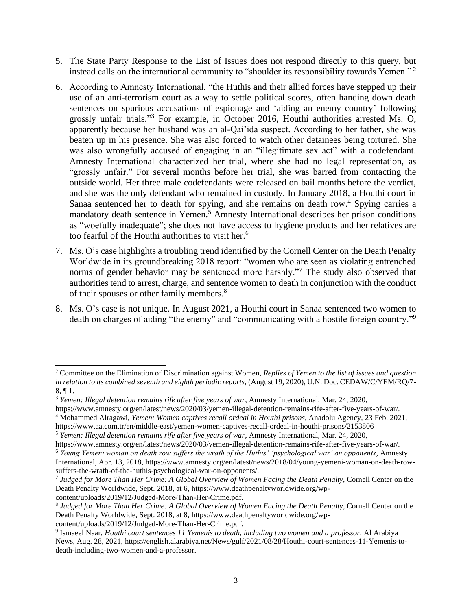- 5. The State Party Response to the List of Issues does not respond directly to this query, but instead calls on the international community to "shoulder its responsibility towards Yemen."<sup>2</sup>
- 6. According to Amnesty International, "the Huthis and their allied forces have stepped up their use of an anti-terrorism court as a way to settle political scores, often handing down death sentences on spurious accusations of espionage and 'aiding an enemy country' following grossly unfair trials." <sup>3</sup> For example, in October 2016, Houthi authorities arrested Ms. O, apparently because her husband was an al-Qai'ida suspect. According to her father, she was beaten up in his presence. She was also forced to watch other detainees being tortured. She was also wrongfully accused of engaging in an "illegitimate sex act" with a codefendant. Amnesty International characterized her trial, where she had no legal representation, as "grossly unfair." For several months before her trial, she was barred from contacting the outside world. Her three male codefendants were released on bail months before the verdict, and she was the only defendant who remained in custody. In January 2018, a Houthi court in Sanaa sentenced her to death for spying, and she remains on death row.<sup>4</sup> Spying carries a mandatory death sentence in Yemen.<sup>5</sup> Amnesty International describes her prison conditions as "woefully inadequate"; she does not have access to hygiene products and her relatives are too fearful of the Houthi authorities to visit her.<sup>6</sup>
- 7. Ms. O's case highlights a troubling trend identified by the Cornell Center on the Death Penalty Worldwide in its groundbreaking 2018 report: "women who are seen as violating entrenched norms of gender behavior may be sentenced more harshly."<sup>7</sup> The study also observed that authorities tend to arrest, charge, and sentence women to death in conjunction with the conduct of their spouses or other family members.<sup>8</sup>
- 8. Ms. O's case is not unique. In August 2021, a Houthi court in Sanaa sentenced two women to death on charges of aiding "the enemy" and "communicating with a hostile foreign country."<sup>9</sup>

content/uploads/2019/12/Judged-More-Than-Her-Crime.pdf.

<sup>2</sup> Committee on the Elimination of Discrimination against Women, *Replies of Yemen to the list of issues and question in relation to its combined seventh and eighth periodic reports,* (August 19, 2020), U.N. Doc. CEDAW/C/YEM/RQ/7- 8, ¶ 1.

<sup>3</sup> *Yemen: Illegal detention remains rife after five years of war*, Amnesty International, Mar. 24, 2020,

https://www.amnesty.org/en/latest/news/2020/03/yemen-illegal-detention-remains-rife-after-five-years-of-war/.

<sup>4</sup> Mohammed Alragawi, *Yemen: Women captives recall ordeal in Houthi prisons*, Anadolu Agency, 23 Feb. 2021,

https://www.aa.com.tr/en/middle-east/yemen-women-captives-recall-ordeal-in-houthi-prisons/2153806

<sup>5</sup> *Yemen: Illegal detention remains rife after five years of war*, Amnesty International, Mar. 24, 2020,

https://www.amnesty.org/en/latest/news/2020/03/yemen-illegal-detention-remains-rife-after-five-years-of-war/.

<sup>6</sup> *Young Yemeni woman on death row suffers the wrath of the Huthis' 'psychological war' on opponents*, Amnesty International, Apr. 13, 2018, https://www.amnesty.org/en/latest/news/2018/04/young-yemeni-woman-on-death-rowsuffers-the-wrath-of-the-huthis-psychological-war-on-opponents/.

<sup>7</sup> *Judged for More Than Her Crime: A Global Overview of Women Facing the Death Penalty*, Cornell Center on the Death Penalty Worldwide, Sept. 2018, at 6, https://www.deathpenaltyworldwide.org/wp-

<sup>8</sup> *Judged for More Than Her Crime: A Global Overview of Women Facing the Death Penalty*, Cornell Center on the Death Penalty Worldwide, Sept. 2018, at 8, https://www.deathpenaltyworldwide.org/wp-

content/uploads/2019/12/Judged-More-Than-Her-Crime.pdf.

<sup>9</sup> Ismaeel Naar, *Houthi court sentences 11 Yemenis to death, including two women and a professor*, Al Arabiya News, Aug. 28, 2021, https://english.alarabiya.net/News/gulf/2021/08/28/Houthi-court-sentences-11-Yemenis-todeath-including-two-women-and-a-professor.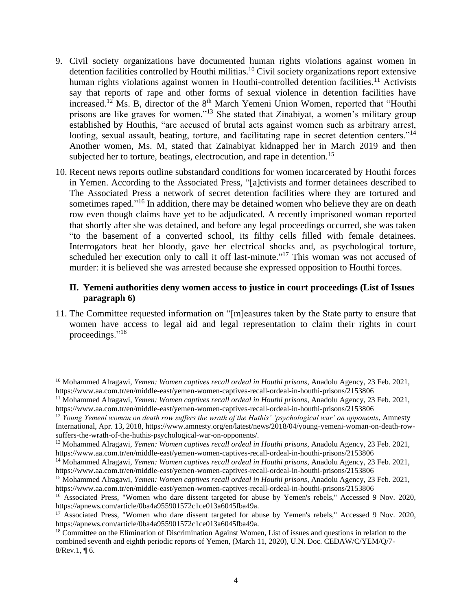- <span id="page-3-0"></span>9. Civil society organizations have documented human rights violations against women in detention facilities controlled by Houthi militias.<sup>10</sup> Civil society organizations report extensive human rights violations against women in Houthi-controlled detention facilities.<sup>11</sup> Activists say that reports of rape and other forms of sexual violence in detention facilities have increased.<sup>12</sup> Ms. B, director of the 8<sup>th</sup> March Yemeni Union Women, reported that "Houthi prisons are like graves for women."<sup>13</sup> She stated that Zinabiyat, a women's military group established by Houthis, "are accused of brutal acts against women such as arbitrary arrest, looting, sexual assault, beating, torture, and facilitating rape in secret detention centers."<sup>14</sup> Another women, Ms. M, stated that Zainabiyat kidnapped her in March 2019 and then subjected her to torture, beatings, electrocution, and rape in detention.<sup>15</sup>
- <span id="page-3-1"></span>10. Recent news reports outline substandard conditions for women incarcerated by Houthi forces in Yemen. According to the Associated Press, "[a]ctivists and former detainees described to The Associated Press a network of secret detention facilities where they are tortured and sometimes raped."<sup>16</sup> In addition, there may be detained women who believe they are on death row even though claims have yet to be adjudicated. A recently imprisoned woman reported that shortly after she was detained, and before any legal proceedings occurred, she was taken "to the basement of a converted school, its filthy cells filled with female detainees. Interrogators beat her bloody, gave her electrical shocks and, as psychological torture, scheduled her execution only to call it off last-minute."<sup>17</sup> This woman was not accused of murder: it is believed she was arrested because she expressed opposition to Houthi forces.

#### **II. Yemeni authorities deny women access to justice in court proceedings (List of Issues paragraph 6)**

11. The Committee requested information on "[m]easures taken by the State party to ensure that women have access to legal aid and legal representation to claim their rights in court proceedings."<sup>18</sup>

<sup>10</sup> Mohammed Alragawi, *Yemen: Women captives recall ordeal in Houthi prisons*, Anadolu Agency, 23 Feb. 2021, https://www.aa.com.tr/en/middle-east/yemen-women-captives-recall-ordeal-in-houthi-prisons/2153806

<sup>11</sup> Mohammed Alragawi, *Yemen: Women captives recall ordeal in Houthi prisons*, Anadolu Agency, 23 Feb. 2021, https://www.aa.com.tr/en/middle-east/yemen-women-captives-recall-ordeal-in-houthi-prisons/2153806

<sup>12</sup> *Young Yemeni woman on death row suffers the wrath of the Huthis' 'psychological war' on opponents*, Amnesty International, Apr. 13, 2018, https://www.amnesty.org/en/latest/news/2018/04/young-yemeni-woman-on-death-rowsuffers-the-wrath-of-the-huthis-psychological-war-on-opponents/.

<sup>13</sup> Mohammed Alragawi, *Yemen: Women captives recall ordeal in Houthi prisons*, Anadolu Agency, 23 Feb. 2021, https://www.aa.com.tr/en/middle-east/yemen-women-captives-recall-ordeal-in-houthi-prisons/2153806

<sup>14</sup> Mohammed Alragawi, *Yemen: Women captives recall ordeal in Houthi prisons*, Anadolu Agency, 23 Feb. 2021, https://www.aa.com.tr/en/middle-east/yemen-women-captives-recall-ordeal-in-houthi-prisons/2153806

<sup>15</sup> Mohammed Alragawi, *Yemen: Women captives recall ordeal in Houthi prisons*, Anadolu Agency, 23 Feb. 2021, https://www.aa.com.tr/en/middle-east/yemen-women-captives-recall-ordeal-in-houthi-prisons/2153806

<sup>&</sup>lt;sup>16</sup> Associated Press, "Women who dare dissent targeted for abuse by Yemen's rebels," Accessed 9 Nov. 2020, https://apnews.com/article/0ba4a955901572c1ce013a6045fba49a.

<sup>&</sup>lt;sup>17</sup> Associated Press, "Women who dare dissent targeted for abuse by Yemen's rebels," Accessed 9 Nov. 2020, https://apnews.com/article/0ba4a955901572c1ce013a6045fba49a.

<sup>&</sup>lt;sup>18</sup> Committee on the Elimination of Discrimination Against Women, List of issues and questions in relation to the combined seventh and eighth periodic reports of Yemen, (March 11, 2020), U.N. Doc. CEDAW/C/YEM/Q/7-  $8$ /Rev.1, ¶ 6.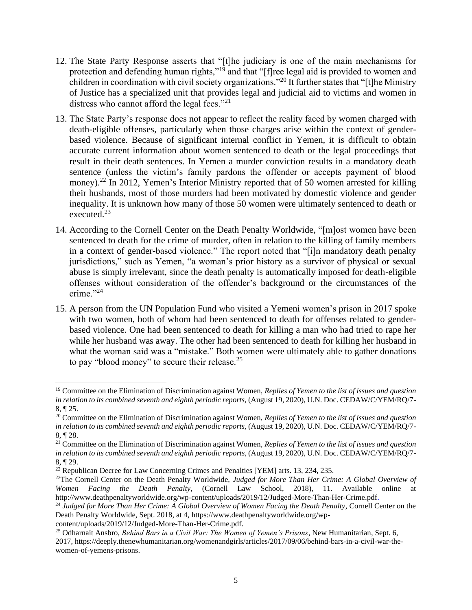- 12. The State Party Response asserts that "[t]he judiciary is one of the main mechanisms for protection and defending human rights,"<sup>19</sup> and that "[f]ree legal aid is provided to women and children in coordination with civil society organizations."<sup>20</sup> It further states that "[t]he Ministry of Justice has a specialized unit that provides legal and judicial aid to victims and women in distress who cannot afford the legal fees."<sup>21</sup>
- 13. The State Party's response does not appear to reflect the reality faced by women charged with death-eligible offenses, particularly when those charges arise within the context of genderbased violence. Because of significant internal conflict in Yemen, it is difficult to obtain accurate current information about women sentenced to death or the legal proceedings that result in their death sentences. In Yemen a murder conviction results in a mandatory death sentence (unless the victim's family pardons the offender or accepts payment of blood money).<sup>22</sup> In 2012, Yemen's Interior Ministry reported that of 50 women arrested for killing their husbands, most of those murders had been motivated by domestic violence and gender inequality. It is unknown how many of those 50 women were ultimately sentenced to death or executed. 23
- 14. According to the Cornell Center on the Death Penalty Worldwide, "[m]ost women have been sentenced to death for the crime of murder, often in relation to the killing of family members in a context of gender-based violence." The report noted that "[i]n mandatory death penalty jurisdictions," such as Yemen, "a woman's prior history as a survivor of physical or sexual abuse is simply irrelevant, since the death penalty is automatically imposed for death-eligible offenses without consideration of the offender's background or the circumstances of the crime."<sup>24</sup>
- 15. A person from the UN Population Fund who visited a Yemeni women's prison in 2017 spoke with two women, both of whom had been sentenced to death for offenses related to genderbased violence. One had been sentenced to death for killing a man who had tried to rape her while her husband was away. The other had been sentenced to death for killing her husband in what the woman said was a "mistake." Both women were ultimately able to gather donations to pay "blood money" to secure their release. $25$

<sup>19</sup> Committee on the Elimination of Discrimination against Women, *Replies of Yemen to the list of issues and question in relation to its combined seventh and eighth periodic reports,* (August 19, 2020), U.N. Doc. CEDAW/C/YEM/RQ/7- 8, ¶ 25.

<sup>20</sup> Committee on the Elimination of Discrimination against Women, *Replies of Yemen to the list of issues and question in relation to its combined seventh and eighth periodic reports,* (August 19, 2020), U.N. Doc. CEDAW/C/YEM/RQ/7- 8, ¶ 28.

<sup>21</sup> Committee on the Elimination of Discrimination against Women, *Replies of Yemen to the list of issues and question in relation to its combined seventh and eighth periodic reports,* (August 19, 2020), U.N. Doc. CEDAW/C/YEM/RQ/7- 8, ¶ 29.

 $22$  Republican Decree for Law Concerning Crimes and Penalties [YEM] arts. 13, 234, 235.

<sup>&</sup>lt;sup>23</sup>The Cornell Center on the Death Penalty Worldwide, *Judged for More Than Her Crime: A Global Overview of Women Facing the Death Penalty*, (Cornell Law School, 2018), 11. Available online at http://www.deathpenaltyworldwide.org/wp-content/uploads/2019/12/Judged-More-Than-Her-Crime.pdf.

<sup>&</sup>lt;sup>24</sup> Judged for More Than Her Crime: A Global Overview of Women Facing the Death Penalty, Cornell Center on the Death Penalty Worldwide, Sept. 2018, at 4, https://www.deathpenaltyworldwide.org/wp-

content/uploads/2019/12/Judged-More-Than-Her-Crime.pdf.

<sup>25</sup> Odharnait Ansbro, *Behind Bars in a Civil War: The Women of Yemen's Prisons*, New Humanitarian, Sept. 6, 2017, https://deeply.thenewhumanitarian.org/womenandgirls/articles/2017/09/06/behind-bars-in-a-civil-war-thewomen-of-yemens-prisons.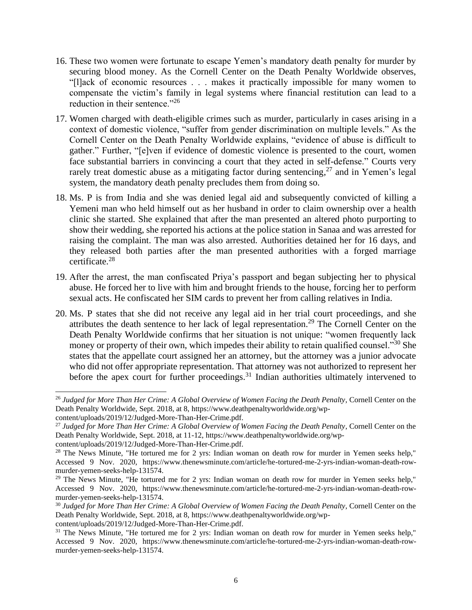- 16. These two women were fortunate to escape Yemen's mandatory death penalty for murder by securing blood money. As the Cornell Center on the Death Penalty Worldwide observes, "[l]ack of economic resources . . . makes it practically impossible for many women to compensate the victim's family in legal systems where financial restitution can lead to a reduction in their sentence."<sup>26</sup>
- 17. Women charged with death-eligible crimes such as murder, particularly in cases arising in a context of domestic violence, "suffer from gender discrimination on multiple levels." As the Cornell Center on the Death Penalty Worldwide explains, "evidence of abuse is difficult to gather." Further, "[e]ven if evidence of domestic violence is presented to the court, women face substantial barriers in convincing a court that they acted in self-defense." Courts very rarely treat domestic abuse as a mitigating factor during sentencing,<sup>27</sup> and in Yemen's legal system, the mandatory death penalty precludes them from doing so.
- 18. Ms. P is from India and she was denied legal aid and subsequently convicted of killing a Yemeni man who held himself out as her husband in order to claim ownership over a health clinic she started. She explained that after the man presented an altered photo purporting to show their wedding, she reported his actions at the police station in Sanaa and was arrested for raising the complaint. The man was also arrested. Authorities detained her for 16 days, and they released both parties after the man presented authorities with a forged marriage certificate.<sup>28</sup>
- 19. After the arrest, the man confiscated Priya's passport and began subjecting her to physical abuse. He forced her to live with him and brought friends to the house, forcing her to perform sexual acts. He confiscated her SIM cards to prevent her from calling relatives in India.
- 20. Ms. P states that she did not receive any legal aid in her trial court proceedings, and she attributes the death sentence to her lack of legal representation.<sup>29</sup> The Cornell Center on the Death Penalty Worldwide confirms that her situation is not unique: "women frequently lack money or property of their own, which impedes their ability to retain qualified counsel."<sup>30</sup> She states that the appellate court assigned her an attorney, but the attorney was a junior advocate who did not offer appropriate representation. That attorney was not authorized to represent her before the apex court for further proceedings.<sup>31</sup> Indian authorities ultimately intervened to

<sup>&</sup>lt;sup>26</sup> Judged for More Than Her Crime: A Global Overview of Women Facing the Death Penalty, Cornell Center on the Death Penalty Worldwide, Sept. 2018, at 8, https://www.deathpenaltyworldwide.org/wp-

content/uploads/2019/12/Judged-More-Than-Her-Crime.pdf.

<sup>&</sup>lt;sup>27</sup> Judged for More Than Her Crime: A Global Overview of Women Facing the Death Penalty, Cornell Center on the Death Penalty Worldwide, Sept. 2018, at 11-12, https://www.deathpenaltyworldwide.org/wp-

content/uploads/2019/12/Judged-More-Than-Her-Crime.pdf.

<sup>&</sup>lt;sup>28</sup> The News Minute, "He tortured me for 2 yrs: Indian woman on death row for murder in Yemen seeks help," Accessed 9 Nov. 2020, https://www.thenewsminute.com/article/he-tortured-me-2-yrs-indian-woman-death-rowmurder-yemen-seeks-help-131574.

<sup>&</sup>lt;sup>29</sup> The News Minute, "He tortured me for 2 yrs: Indian woman on death row for murder in Yemen seeks help," Accessed 9 Nov. 2020, https://www.thenewsminute.com/article/he-tortured-me-2-yrs-indian-woman-death-rowmurder-yemen-seeks-help-131574.

<sup>&</sup>lt;sup>30</sup> Judged for More Than Her Crime: A Global Overview of Women Facing the Death Penalty, Cornell Center on the Death Penalty Worldwide, Sept. 2018, at 8, https://www.deathpenaltyworldwide.org/wp-

content/uploads/2019/12/Judged-More-Than-Her-Crime.pdf.

<sup>&</sup>lt;sup>31</sup> The News Minute, "He tortured me for 2 yrs: Indian woman on death row for murder in Yemen seeks help," Accessed 9 Nov. 2020, https://www.thenewsminute.com/article/he-tortured-me-2-yrs-indian-woman-death-rowmurder-yemen-seeks-help-131574.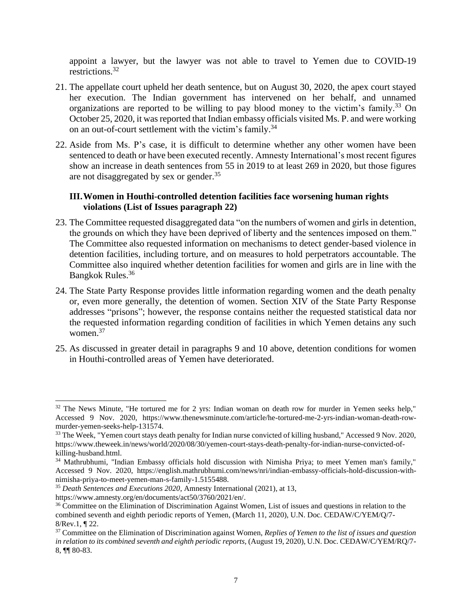appoint a lawyer, but the lawyer was not able to travel to Yemen due to COVID-19 restrictions.<sup>32</sup>

- 21. The appellate court upheld her death sentence, but on August 30, 2020, the apex court stayed her execution. The Indian government has intervened on her behalf, and unnamed organizations are reported to be willing to pay blood money to the victim's family.<sup>33</sup> On October 25, 2020, it was reported that Indian embassy officials visited Ms. P. and were working on an out-of-court settlement with the victim's family.<sup>34</sup>
- 22. Aside from Ms. P's case, it is difficult to determine whether any other women have been sentenced to death or have been executed recently. Amnesty International's most recent figures show an increase in death sentences from 55 in 2019 to at least 269 in 2020, but those figures are not disaggregated by sex or gender.<sup>35</sup>

## **III.Women in Houthi-controlled detention facilities face worsening human rights violations (List of Issues paragraph 22)**

- 23. The Committee requested disaggregated data "on the numbers of women and girls in detention, the grounds on which they have been deprived of liberty and the sentences imposed on them." The Committee also requested information on mechanisms to detect gender-based violence in detention facilities, including torture, and on measures to hold perpetrators accountable. The Committee also inquired whether detention facilities for women and girls are in line with the Bangkok Rules.<sup>36</sup>
- 24. The State Party Response provides little information regarding women and the death penalty or, even more generally, the detention of women. Section XIV of the State Party Response addresses "prisons"; however, the response contains neither the requested statistical data nor the requested information regarding condition of facilities in which Yemen detains any such women.<sup>37</sup>
- 25. As discussed in greater detail in paragraphs [9](#page-3-0) and [10](#page-3-1) above, detention conditions for women in Houthi-controlled areas of Yemen have deteriorated.

 $32$  The News Minute, "He tortured me for 2 yrs: Indian woman on death row for murder in Yemen seeks help." Accessed 9 Nov. 2020, https://www.thenewsminute.com/article/he-tortured-me-2-yrs-indian-woman-death-rowmurder-yemen-seeks-help-131574.

<sup>33</sup> The Week, "Yemen court stays death penalty for Indian nurse convicted of killing husband," Accessed 9 Nov. 2020, https://www.theweek.in/news/world/2020/08/30/yemen-court-stays-death-penalty-for-indian-nurse-convicted-ofkilling-husband.html.

<sup>&</sup>lt;sup>34</sup> Mathrubhumi, "Indian Embassy officials hold discussion with Nimisha Priya; to meet Yemen man's family," Accessed 9 Nov. 2020, https://english.mathrubhumi.com/news/nri/indian-embassy-officials-hold-discussion-withnimisha-priya-to-meet-yemen-man-s-family-1.5155488.

<sup>35</sup> *Death Sentences and Executions 2020*, Amnesty International (2021), at 13,

https://www.amnesty.org/en/documents/act50/3760/2021/en/.

<sup>&</sup>lt;sup>36</sup> Committee on the Elimination of Discrimination Against Women, List of issues and questions in relation to the combined seventh and eighth periodic reports of Yemen, (March 11, 2020), U.N. Doc. CEDAW/C/YEM/Q/7- 8/Rev.1, ¶ 22.

<sup>37</sup> Committee on the Elimination of Discrimination against Women, *Replies of Yemen to the list of issues and question in relation to its combined seventh and eighth periodic reports,* (August 19, 2020), U.N. Doc. CEDAW/C/YEM/RQ/7- 8, ¶¶ 80-83.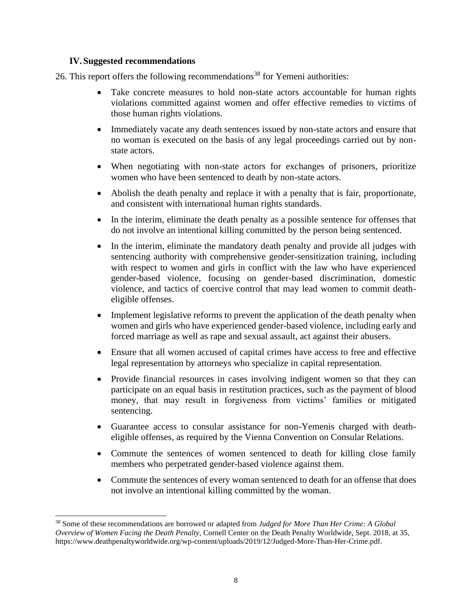### **IV.Suggested recommendations**

26. This report offers the following recommendations<sup>38</sup> for Yemeni authorities:

- Take concrete measures to hold non-state actors accountable for human rights violations committed against women and offer effective remedies to victims of those human rights violations.
- Immediately vacate any death sentences issued by non-state actors and ensure that no woman is executed on the basis of any legal proceedings carried out by nonstate actors.
- When negotiating with non-state actors for exchanges of prisoners, prioritize women who have been sentenced to death by non-state actors.
- Abolish the death penalty and replace it with a penalty that is fair, proportionate, and consistent with international human rights standards.
- In the interim, eliminate the death penalty as a possible sentence for offenses that do not involve an intentional killing committed by the person being sentenced.
- In the interim, eliminate the mandatory death penalty and provide all judges with sentencing authority with comprehensive gender-sensitization training, including with respect to women and girls in conflict with the law who have experienced gender-based violence, focusing on gender-based discrimination, domestic violence, and tactics of coercive control that may lead women to commit deatheligible offenses.
- Implement legislative reforms to prevent the application of the death penalty when women and girls who have experienced gender-based violence, including early and forced marriage as well as rape and sexual assault, act against their abusers.
- Ensure that all women accused of capital crimes have access to free and effective legal representation by attorneys who specialize in capital representation.
- Provide financial resources in cases involving indigent women so that they can participate on an equal basis in restitution practices, such as the payment of blood money, that may result in forgiveness from victims' families or mitigated sentencing.
- Guarantee access to consular assistance for non-Yemenis charged with deatheligible offenses, as required by the Vienna Convention on Consular Relations.
- Commute the sentences of women sentenced to death for killing close family members who perpetrated gender-based violence against them.
- Commute the sentences of every woman sentenced to death for an offense that does not involve an intentional killing committed by the woman.

<sup>38</sup> Some of these recommendations are borrowed or adapted from *Judged for More Than Her Crime: A Global Overview of Women Facing the Death Penalty*, Cornell Center on the Death Penalty Worldwide, Sept. 2018, at 35, https://www.deathpenaltyworldwide.org/wp-content/uploads/2019/12/Judged-More-Than-Her-Crime.pdf.